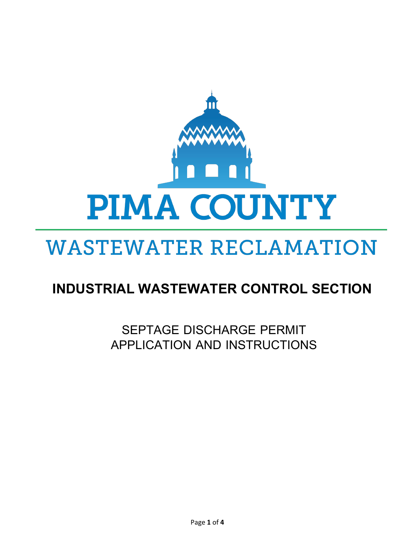

# **WASTEWATER RECLAMATION**

# **INDUSTRIAL WASTEWATER CONTROL SECTION**

SEPTAGE DISCHARGE PERMIT APPLICATION AND INSTRUCTIONS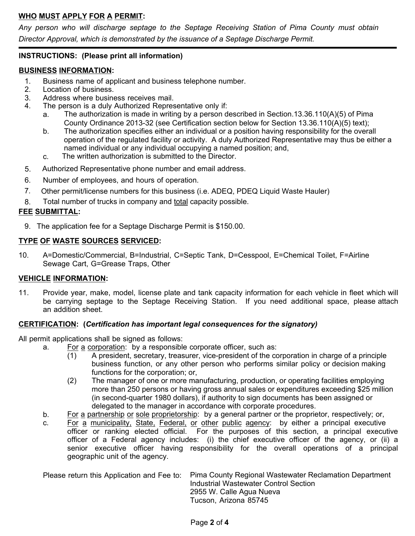## **WHO MUST APPLY FOR A PERMIT:**

*Any person who will discharge septage to the Septage Receiving Station of Pima County must obtain Director Approval, which is demonstrated by the issuance of a Septage Discharge Permit.*

### **INSTRUCTIONS: (Please print all information)**

#### **BUSINESS INFORMATION:**

- 1. Business name of applicant and business telephone number.<br>2. Location of business.
- 2. Location of business.<br>3. Address where busine
- Address where business receives mail.
- 4. The person is a duly Authorized Representative only if:
	- a. The authorization is made in writing by a person described in Section.13.36.110(A)(5) of Pima County Ordinance 2013-32 (see Certification section below for Section 13.36.110(A)(5) text);
	- b. The authorization specifies either an individual or a position having responsibility for the overall operation of the regulated facility or activity. A duly Authorized Representative may thus be either a named individual or any individual occupying a named position; and,
	- c. The written authorization is submitted to the Director.
- 5. Authorized Representative phone number and email address.
- 6. Number of employees, and hours of operation.
- 7*.* Other permit/license numbers for this business (i.e. ADEQ, PDEQ Liquid Waste Hauler)
- 8. Total number of trucks in company and total capacity possible.

#### **FEE SUBMITTAL:**

9. The application fee for a Septage Discharge Permit is \$150.00.

#### **TYPE OF WASTE SOURCES SERVICED:**

10. A=Domestic/Commercial, B=Industrial, C=Septic Tank, D=Cesspool, E=Chemical Toilet, F=Airline Sewage Cart, G=Grease Traps, Other

#### **VEHICLE INFORMATION:**

11. Provide year, make, model, license plate and tank capacity information for each vehicle in fleet which will be carrying septage to the Septage Receiving Station. If you need additional space, please attach an addition sheet.

#### **CERTIFICATION: (***Certification has important legal consequences for the signatory)*

All permit applications shall be signed as follows:

- a. For a corporation: by a responsible corporate officer, such as:
	- (1) A president, secretary, treasurer, vice-president of the corporation in charge of a principle business function, or any other person who performs similar policy or decision making functions for the corporation; or,
	- (2) The manager of one or more manufacturing, production, or operating facilities employing more than 250 persons or having gross annual sales or expenditures exceeding \$25 million (in second-quarter 1980 dollars), if authority to sign documents has been assigned or delegated to the manager in accordance with corporate procedures.
- b. For a partnership or sole proprietorship: by a general partner or the proprietor, respectively; or,
- c. For a municipality, State, Federal, or other public agency: by either a principal executive officer or ranking elected official. For the purposes of this section, a principal executive officer of a Federal agency includes: (i) the chief executive officer of the agency, or (ii) a senior executive officer having responsibility for the overall operations of a principal geographic unit of the agency.

Please return this Application and Fee to: Pima County Regional Wastewater Reclamation Department Industrial Wastewater Control Section 2955 W. Calle Agua Nueva Tucson, Arizona 85745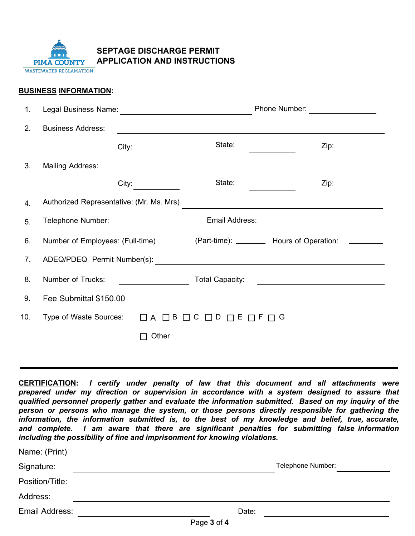

**SEPTAGE DISCHARGE PERMIT APPLICATION AND INSTRUCTIONS**

#### **BUSINESS INFORMATION:**

Name: (Print)

| 1.             | Legal Business Name:                                                                                                                                                                                                                                                             | <u> 1989 - Jan Stern Stern Stern Stern Stern Stern Stern Stern Stern Stern Stern Stern Stern Stern Stern Stern St</u> | Phone Number:                                                                                                        |                 |  |  |
|----------------|----------------------------------------------------------------------------------------------------------------------------------------------------------------------------------------------------------------------------------------------------------------------------------|-----------------------------------------------------------------------------------------------------------------------|----------------------------------------------------------------------------------------------------------------------|-----------------|--|--|
| 2 <sub>1</sub> | <b>Business Address:</b>                                                                                                                                                                                                                                                         |                                                                                                                       |                                                                                                                      |                 |  |  |
|                |                                                                                                                                                                                                                                                                                  | City: $\qquad \qquad \qquad$                                                                                          | State:                                                                                                               | $\mathsf{Zip:}$ |  |  |
| 3.             | Mailing Address:                                                                                                                                                                                                                                                                 |                                                                                                                       | <u> 1989 - Johann Stein, mars an deutscher Stein und der Stein und der Stein und der Stein und der Stein und der</u> |                 |  |  |
|                |                                                                                                                                                                                                                                                                                  | City:                                                                                                                 | State:                                                                                                               | Zip:            |  |  |
| 4.             | Authorized Representative: (Mr. Ms. Mrs)<br><u>and the state of the state of the state of the state of the state of the state of the state of the state of the state of the state of the state of the state of the state of the state of the state of the state of the state</u> |                                                                                                                       |                                                                                                                      |                 |  |  |
| 5.             | Telephone Number:                                                                                                                                                                                                                                                                |                                                                                                                       | Email Address:                                                                                                       |                 |  |  |
| 6.             | Number of Employees: (Full-time) (Part-time): ________ Hours of Operation: ______                                                                                                                                                                                                |                                                                                                                       |                                                                                                                      |                 |  |  |
| 7.             | ADEQ/PDEQ Permit Number(s):<br><u> 1989 - Johann Barnett, fransk politiker (d. 1989)</u>                                                                                                                                                                                         |                                                                                                                       |                                                                                                                      |                 |  |  |
| 8.             | Number of Trucks:<br><b>Total Capacity:</b>                                                                                                                                                                                                                                      |                                                                                                                       |                                                                                                                      |                 |  |  |
| 9.             | Fee Submittal \$150.00                                                                                                                                                                                                                                                           |                                                                                                                       |                                                                                                                      |                 |  |  |
| 10.            |                                                                                                                                                                                                                                                                                  | Type of Waste Sources: □ A □ B □ C □ D □ E □ F □ G                                                                    |                                                                                                                      |                 |  |  |
|                |                                                                                                                                                                                                                                                                                  | Other                                                                                                                 |                                                                                                                      |                 |  |  |
|                |                                                                                                                                                                                                                                                                                  |                                                                                                                       |                                                                                                                      |                 |  |  |

**CERTIFICATION:** *I certify under penalty of law that this document and all attachments were prepared under my direction or supervision in accordance with a system designed to assure that qualified personnel properly gather and evaluate the information submitted. Based on my inquiry of the person or persons who manage the system, or those persons directly responsible for gathering the information, the information submitted is, to the best of my knowledge and belief, true, accurate, and complete. I am aware that there are significant penalties for submitting false information including the possibility of fine and imprisonment for knowing violations.*

| Name. (Pilitt)  |             |                   |
|-----------------|-------------|-------------------|
| Signature:      |             | Telephone Number: |
| Position/Title: |             |                   |
| Address:        |             |                   |
| Email Address:  | Date:       |                   |
|                 | Page 3 of 4 |                   |